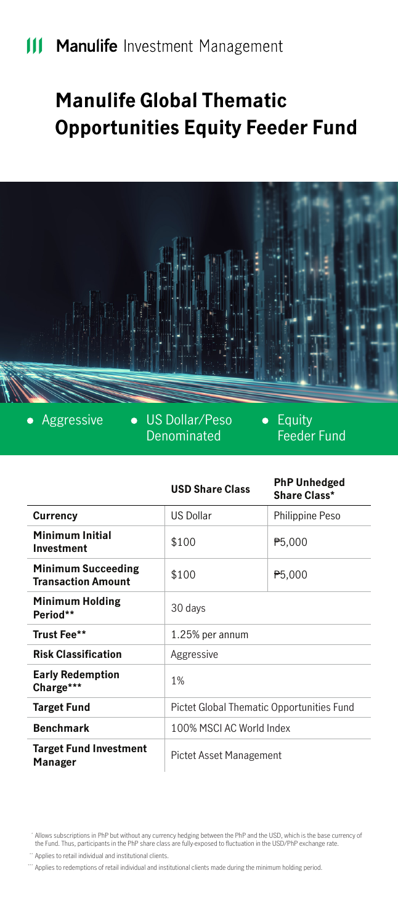# **Manulife Global Thematic Opportunities Equity Feeder Fund**



 $\bullet$ 

Aggressive • US Dollar/Peso Denominated

• Equity Feeder Fund

|                                                        | <b>USD Share Class</b>                    | <b>PhP Unhedged</b><br>Share Class* |
|--------------------------------------------------------|-------------------------------------------|-------------------------------------|
| Currency                                               | <b>US Dollar</b>                          | Philippine Peso                     |
| <b>Minimum Initial</b><br>Investment                   | \$100                                     | P <sub>5</sub> ,000                 |
| <b>Minimum Succeeding</b><br><b>Transaction Amount</b> | \$100                                     | P5,000                              |
| <b>Minimum Holding</b><br>Period**                     | 30 days                                   |                                     |
| Trust Fee**                                            | 1.25% per annum                           |                                     |
| <b>Risk Classification</b>                             | Aggressive                                |                                     |
| <b>Early Redemption</b><br>Charge***                   | 1%                                        |                                     |
| <b>Target Fund</b>                                     | Pictet Global Thematic Opportunities Fund |                                     |
| <b>Benchmark</b>                                       | 100% MSCLAC World Index                   |                                     |
| <b>Target Fund Investment</b><br>Manager               | Pictet Asset Management                   |                                     |

<sup>&</sup>quot; Allows subscriptions in PhP but without any currency hedging between the PhP and the USD, which is the base currency of<br>the Fund. Thus, participants in the PhP share class are fully-exposed to fluctuation in the USD/PhP

<sup>&</sup>quot; Applies to retail individual and institutional clients.

Applies to redemptions of retail individual and institutional clients made during the minimum holding period. \*\*\*